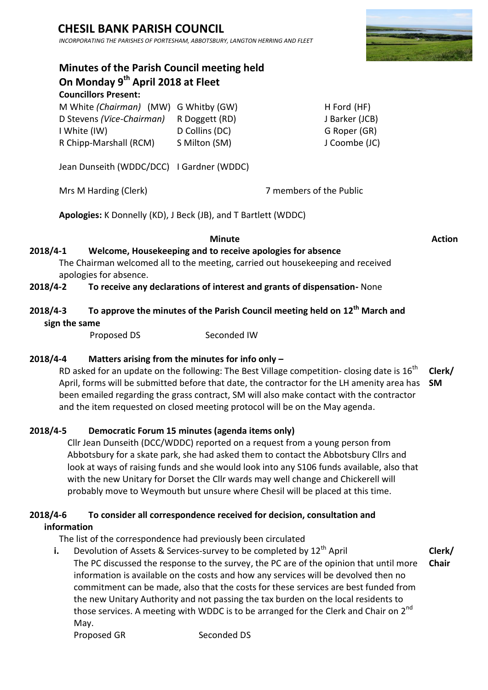*INCORPORATING THE PARISHES OF PORTESHAM, ABBOTSBURY, LANGTON HERRING AND FLEET*

## **Minutes of the Parish Council meeting held On Monday 9 th April 2018 at Fleet**

**Councillors Present:**

| M White (Chairman) (MW) G Whitby (GW) |                | H Ford (HF)    |
|---------------------------------------|----------------|----------------|
| D Stevens (Vice-Chairman)             | R Doggett (RD) | J Barker (JCB) |
| I White (IW)                          | D Collins (DC) | G Roper (GR)   |
| R Chipp-Marshall (RCM)                | S Milton (SM)  | J Coombe (JC)  |

Jean Dunseith (WDDC/DCC) I Gardner (WDDC)

Mrs M Harding (Clerk)7 members of the Public

**Apologies:** K Donnelly (KD), J Beck (JB), and T Bartlett (WDDC)

**Minute Action** 

## **2018/4-1 Welcome, Housekeeping and to receive apologies for absence**

The Chairman welcomed all to the meeting, carried out housekeeping and received apologies for absence.

**2018/4-2 To receive any declarations of interest and grants of dispensation-** None

### **2018/4-3 To approve the minutes of the Parish Council meeting held on 12th March and sign the same**

Proposed DS Seconded IW

#### **2018/4-4 Matters arising from the minutes for info only –**

RD asked for an update on the following: The Best Village competition- closing date is  $16<sup>th</sup>$ April, forms will be submitted before that date, the contractor for the LH amenity area has been emailed regarding the grass contract, SM will also make contact with the contractor and the item requested on closed meeting protocol will be on the May agenda. **Clerk/ SM**

### **2018/4-5 Democratic Forum 15 minutes (agenda items only)**

Cllr Jean Dunseith (DCC/WDDC) reported on a request from a young person from Abbotsbury for a skate park, she had asked them to contact the Abbotsbury Cllrs and look at ways of raising funds and she would look into any S106 funds available, also that with the new Unitary for Dorset the Cllr wards may well change and Chickerell will probably move to Weymouth but unsure where Chesil will be placed at this time.

#### **2018/4-6 To consider all correspondence received for decision, consultation and information**

The list of the correspondence had previously been circulated

**i.** Devolution of Assets & Services-survey to be completed by 12<sup>th</sup> April The PC discussed the response to the survey, the PC are of the opinion that until more information is available on the costs and how any services will be devolved then no commitment can be made, also that the costs for these services are best funded from the new Unitary Authority and not passing the tax burden on the local residents to those services. A meeting with WDDC is to be arranged for the Clerk and Chair on 2<sup>nd</sup> May. Proposed GR Seconded DS **Clerk/ Chair**

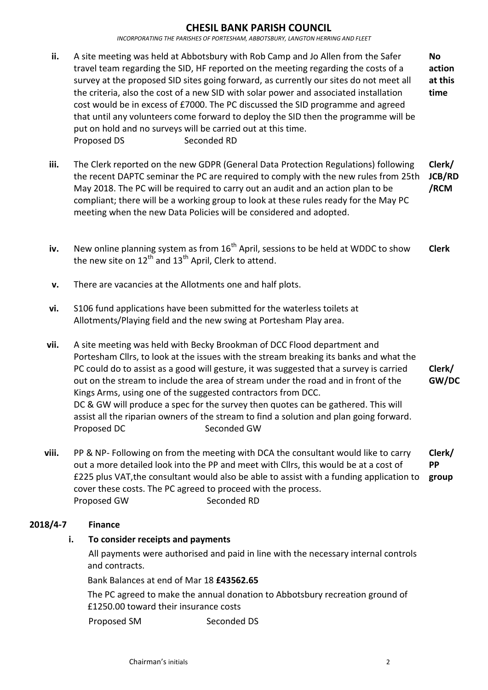*INCORPORATING THE PARISHES OF PORTESHAM, ABBOTSBURY, LANGTON HERRING AND FLEET*

- **ii.** A site meeting was held at Abbotsbury with Rob Camp and Jo Allen from the Safer travel team regarding the SID, HF reported on the meeting regarding the costs of a survey at the proposed SID sites going forward, as currently our sites do not meet all the criteria, also the cost of a new SID with solar power and associated installation cost would be in excess of £7000. The PC discussed the SID programme and agreed that until any volunteers come forward to deploy the SID then the programme will be put on hold and no surveys will be carried out at this time. Proposed DS Seconded RD **No action at this time**
- **iii.** The Clerk reported on the new GDPR (General Data Protection Regulations) following the recent DAPTC seminar the PC are required to comply with the new rules from 25th May 2018. The PC will be required to carry out an audit and an action plan to be compliant; there will be a working group to look at these rules ready for the May PC meeting when the new Data Policies will be considered and adopted. **Clerk/ JCB/RD /RCM**
- iv. New online planning system as from 16<sup>th</sup> April, sessions to be held at WDDC to show the new site on  $12^{th}$  and  $13^{th}$  April, Clerk to attend. **Clerk**
- **v.** There are vacancies at the Allotments one and half plots.
- **vi.** S106 fund applications have been submitted for the waterless toilets at Allotments/Playing field and the new swing at Portesham Play area.
- **vii.** A site meeting was held with Becky Brookman of DCC Flood department and Portesham Cllrs, to look at the issues with the stream breaking its banks and what the PC could do to assist as a good will gesture, it was suggested that a survey is carried out on the stream to include the area of stream under the road and in front of the Kings Arms, using one of the suggested contractors from DCC. DC & GW will produce a spec for the survey then quotes can be gathered. This will assist all the riparian owners of the stream to find a solution and plan going forward. Proposed DC Seconded GW **Clerk/ GW/DC**
- **viii.** PP & NP- Following on from the meeting with DCA the consultant would like to carry out a more detailed look into the PP and meet with Cllrs, this would be at a cost of £225 plus VAT,the consultant would also be able to assist with a funding application to cover these costs. The PC agreed to proceed with the process. Proposed GW Seconded RD **Clerk/ PP group**

#### **2018/4-7 Finance**

#### **i. To consider receipts and payments**

All payments were authorised and paid in line with the necessary internal controls and contracts.

Bank Balances at end of Mar 18 **£43562.65**

The PC agreed to make the annual donation to Abbotsbury recreation ground of £1250.00 toward their insurance costs

Proposed SM Seconded DS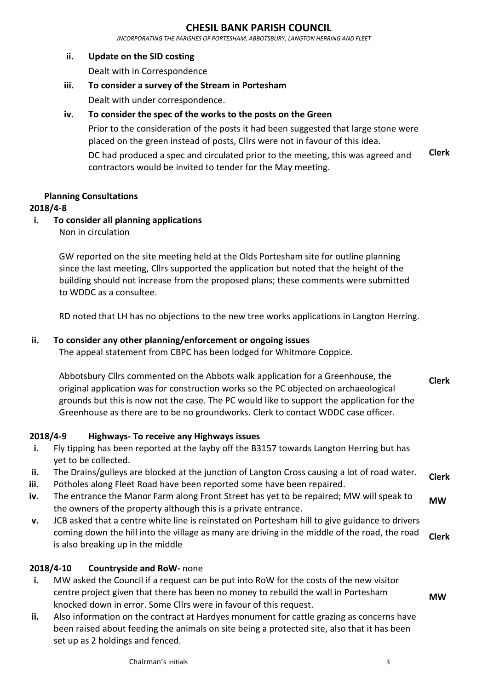*INCORPORATING THE PARISHES OF PORTESHAM, ABBOTSBURY, LANGTON HERRING AND FLEET*

#### **ii. Update on the SID costing**

Dealt with in Correspondence

#### **iii. To consider a survey of the Stream in Portesham**

Dealt with under correspondence.

#### **iv. To consider the spec of the works to the posts on the Green**

Prior to the consideration of the posts it had been suggested that large stone were placed on the green instead of posts, Cllrs were not in favour of this idea.

DC had produced a spec and circulated prior to the meeting, this was agreed and contractors would be invited to tender for the May meeting. **Clerk**

#### **Planning Consultations**

#### **2018/4-8**

#### **i. To consider all planning applications**

Non in circulation

GW reported on the site meeting held at the Olds Portesham site for outline planning since the last meeting, Cllrs supported the application but noted that the height of the building should not increase from the proposed plans; these comments were submitted to WDDC as a consultee.

RD noted that LH has no objections to the new tree works applications in Langton Herring.

#### **ii. To consider any other planning/enforcement or ongoing issues**

The appeal statement from CBPC has been lodged for Whitmore Coppice.

Abbotsbury Cllrs commented on the Abbots walk application for a Greenhouse, the original application was for construction works so the PC objected on archaeological grounds but this is now not the case. The PC would like to support the application for the Greenhouse as there are to be no groundworks. Clerk to contact WDDC case officer. **Clerk**

#### **2018/4-9 Highways- To receive any Highways issues**

- **i.** Fly tipping has been reported at the layby off the B3157 towards Langton Herring but has yet to be collected.
- **ii.** The Drains/gulleys are blocked at the junction of Langton Cross causing a lot of road water. **Clerk**
- **iii.** Potholes along Fleet Road have been reported some have been repaired.
- **iv.** The entrance the Manor Farm along Front Street has yet to be repaired; MW will speak to the owners of the property although this is a private entrance. **MW**
- **v.** JCB asked that a centre white line is reinstated on Portesham hill to give guidance to drivers coming down the hill into the village as many are driving in the middle of the road, the road is also breaking up in the middle **Clerk**

#### **2018/4-10 Countryside and RoW-** none

- **i.** MW asked the Council if a request can be put into RoW for the costs of the new visitor centre project given that there has been no money to rebuild the wall in Portesham knocked down in error. Some Cllrs were in favour of this request.
- **ii.** Also information on the contract at Hardyes monument for cattle grazing as concerns have been raised about feeding the animals on site being a protected site, also that it has been set up as 2 holdings and fenced.

**MW**